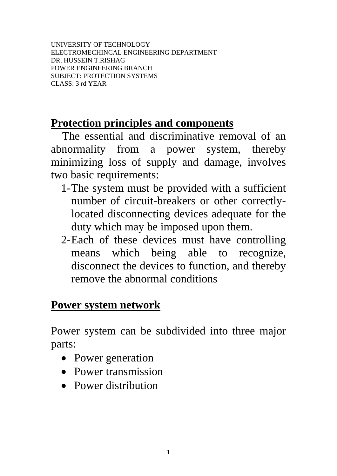UNIVERSITY OF TECHNOLOGY ELECTROMECHINCAL ENGINEERING DEPARTMENT DR. HUSSEIN T.RISHAG POWER ENGINEERING BRANCH SUBJECT: PROTECTION SYSTEMS CLASS: 3 rd YEAR

# **Protection principles and components**

 The essential and discriminative removal of an abnormality from a power system, thereby minimizing loss of supply and damage, involves two basic requirements:

- 1-The system must be provided with a sufficient number of circuit-breakers or other correctlylocated disconnecting devices adequate for the duty which may be imposed upon them.
- 2-Each of these devices must have controlling means which being able to recognize, disconnect the devices to function, and thereby remove the abnormal conditions

## **Power system network**

Power system can be subdivided into three major parts:

- Power generation
- Power transmission
- Power distribution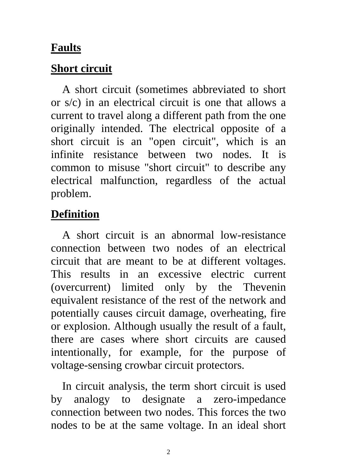#### **Faults**

### **Short circuit**

 A short circuit (sometimes abbreviated to short or s/c) in an [electrical circuit](http://en.wikipedia.org/wiki/Electrical_circuit) is one that allows a [current](http://en.wikipedia.org/wiki/Electric_current) to travel along a different path from the one originally intended. The electrical opposite of a short circuit is an ["open circuit"](http://en.wikipedia.org/wiki/Open_circuit), which is an infinite resistance between two nodes. It is common to misuse "short circuit" to describe any electrical malfunction, regardless of the actual problem.

# **Definition**

 A short circuit is an abnormal low[-resistance](http://en.wikipedia.org/wiki/Electrical_resistance) connection between two nodes of an [electrical](http://en.wikipedia.org/wiki/Electrical_circuit)  [circuit](http://en.wikipedia.org/wiki/Electrical_circuit) that are meant to be at different voltages. This results in an excessive [electric current](http://en.wikipedia.org/wiki/Electric_current) ([overcurrent\)](http://en.wikipedia.org/wiki/Overcurrent) limited only by the [Thevenin](http://en.wikipedia.org/wiki/Th%C3%A9venin%27s_theorem)  [equivalent resistance](http://en.wikipedia.org/wiki/Th%C3%A9venin%27s_theorem) of the rest of the network and potentially causes circuit damage, overheating, [fire](http://en.wikipedia.org/wiki/Fire) or [explosion](http://en.wikipedia.org/wiki/Explosion). Although usually the result of a fault, there are cases where short circuits are caused intentionally, for example, for the purpose of voltage-sensing [crowbar circuit protectors](http://en.wikipedia.org/wiki/Crowbar_%28circuit%29).

 In [circuit analysis](http://en.wikipedia.org/wiki/Circuit_analysis), the term short circuit is used by analogy to designate a zero-[impedance](http://en.wikipedia.org/wiki/Electrical_impedance) connection between two nodes. This forces the two nodes to be at the same voltage. In an ideal short

2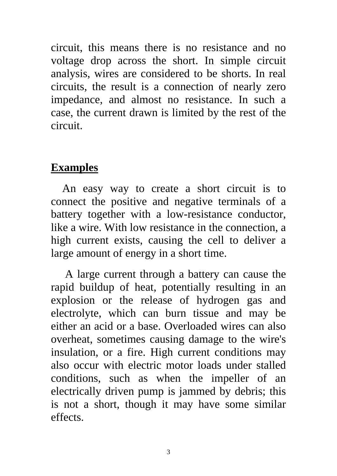circuit, this means there is no resistance and no voltage drop across the short. In simple circuit analysis, wires are considered to be shorts. In real circuits, the result is a connection of nearly zero [impedance,](http://en.wikipedia.org/wiki/Electrical_impedance) and almost no resistance. In such a case, the current drawn is limited by the rest of the circuit.

### **Examples**

 An easy way to create a short circuit is to connect the positive and negative terminals of a [battery](http://en.wikipedia.org/wiki/Battery_%28electricity%29) together with a low-[resistance](http://en.wikipedia.org/wiki/Electrical_resistance) [conductor](http://en.wikipedia.org/wiki/Electrical_conductor), like a [wire](http://en.wikipedia.org/wiki/Wire). With low resistance in the connection, a high [current](http://en.wikipedia.org/wiki/Current_%28electricity%29) exists, causing the cell to deliver a large amount of [energy](http://en.wikipedia.org/wiki/Energy) in a short time.

 A large current through a battery can cause the rapid buildup of heat, potentially resulting in an explosion or the release of [hydrogen](http://en.wikipedia.org/wiki/Hydrogen) gas and [electrolyte](http://en.wikipedia.org/wiki/Electrolyte), which can burn tissue and may be either an [acid](http://en.wikipedia.org/wiki/Acid) or a [base](http://en.wikipedia.org/wiki/Base_%28chemistry%29). Overloaded wires can also overheat, sometimes causing damage to the wire's insulation, or a fire. High current conditions may also occur with [electric motor](http://en.wikipedia.org/wiki/Electric_motor) loads under stalled conditions, such as when the impeller of an electrically driven [pump](http://en.wikipedia.org/wiki/Pump) is jammed by debris; this is not a short, though it may have some similar effects.

3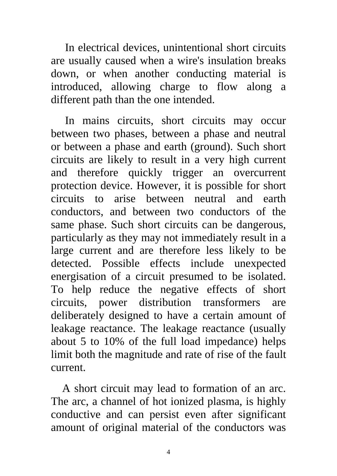In electrical devices, unintentional short circuits are usually caused when a wire's [insulation](http://en.wikipedia.org/wiki/Electrical_insulation) breaks down, or when another conducting material is introduced, allowing charge to flow along a different path than the one intended.

 In [mains](http://en.wikipedia.org/wiki/Mains_electricity) circuits, short circuits may occur between two [phases,](http://en.wikipedia.org/wiki/Polyphase_system) between a phase and [neutral](http://en.wikipedia.org/wiki/Ground_and_neutral) or between a phase and [earth](http://en.wikipedia.org/wiki/Ground_and_neutral) (ground). Such short circuits are likely to result in a very high current and therefore quickly trigger an overcurrent protection device. However, it is possible for short circuits to arise between neutral and earth conductors, and between two conductors of the same phase. Such short circuits can be dangerous, particularly as they may not immediately result in a large current and are therefore less likely to be detected. Possible effects include unexpected energisation of a circuit presumed to be isolated. To help reduce the negative effects of short circuits, power distribution transformers are deliberately designed to have a certain amount of [leakage reactance.](http://en.wikipedia.org/wiki/Leakage_inductance) The leakage reactance (usually about 5 to 10% of the full load impedance) helps limit both the magnitude and rate of rise of the fault current.

 A short circuit may lead to formation of an [arc](http://en.wikipedia.org/wiki/Electric_arc). The arc, a channel of hot ionized [plasma](http://en.wikipedia.org/wiki/Plasma_%28physics%29), is highly conductive and can persist even after significant amount of original material of the conductors was

4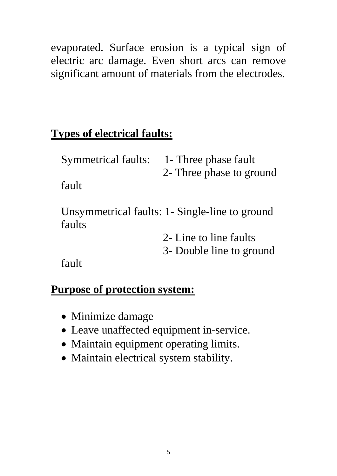evaporated. Surface erosion is a typical sign of electric arc damage. Even short arcs can remove significant amount of materials from the electrodes.

# **Types of electrical faults:**

| <b>Symmetrical faults:</b> | 1- Three phase fault                           |
|----------------------------|------------------------------------------------|
|                            | 2- Three phase to ground                       |
| fault                      |                                                |
| faults                     | Unsymmetrical faults: 1- Single-line to ground |
|                            | 2- Line to line faults                         |
|                            | 3- Double line to ground                       |

fault

## **Purpose of protection system:**

- Minimize damage
- Leave unaffected equipment in-service.
- Maintain equipment operating limits.
- Maintain electrical system stability.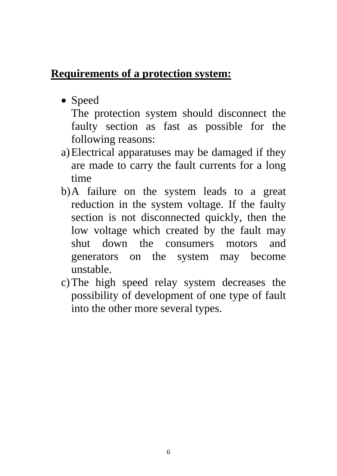## **Requirements of a protection system:**

• Speed

The protection system should disconnect the faulty section as fast as possible for the following reasons:

- a)Electrical apparatuses may be damaged if they are made to carry the fault currents for a long time
- b)A failure on the system leads to a great reduction in the system voltage. If the faulty section is not disconnected quickly, then the low voltage which created by the fault may shut down the consumers motors and generators on the system may become unstable.
- c)The high speed relay system decreases the possibility of development of one type of fault into the other more several types.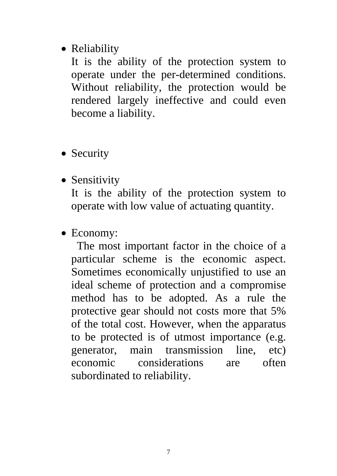### • Reliability

It is the ability of the protection system to operate under the per-determined conditions. Without reliability, the protection would be rendered largely ineffective and could even become a liability.

- Security
- Sensitivity

It is the ability of the protection system to operate with low value of actuating quantity.

• Economy:

 The most important factor in the choice of a particular scheme is the economic aspect. Sometimes economically unjustified to use an ideal scheme of protection and a compromise method has to be adopted. As a rule the protective gear should not costs more that 5% of the total cost. However, when the apparatus to be protected is of utmost importance (e.g. generator, main transmission line, etc) economic considerations are often subordinated to reliability.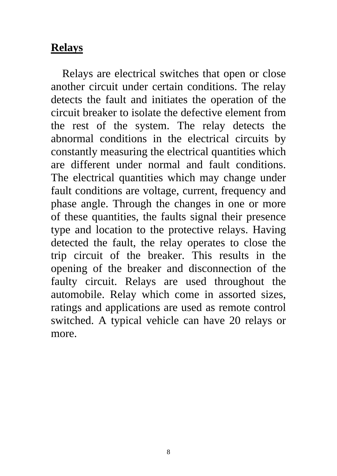### **Relays**

 Relays are electrical switches that open or close another circuit under certain conditions. The relay detects the fault and initiates the operation of the circuit breaker to isolate the defective element from the rest of the system. The relay detects the abnormal conditions in the electrical circuits by constantly measuring the electrical quantities which are different under normal and fault conditions. The electrical quantities which may change under fault conditions are voltage, current, frequency and phase angle. Through the changes in one or more of these quantities, the faults signal their presence type and location to the protective relays. Having detected the fault, the relay operates to close the trip circuit of the breaker. This results in the opening of the breaker and disconnection of the faulty circuit. Relays are used throughout the automobile. Relay which come in assorted sizes, ratings and applications are used as remote control switched. A typical vehicle can have 20 relays or more.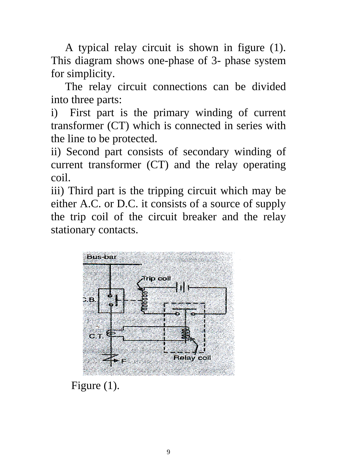A typical relay circuit is shown in figure (1). This diagram shows one-phase of 3- phase system for simplicity.

 The relay circuit connections can be divided into three parts:

i) First part is the primary winding of current transformer (CT) which is connected in series with the line to be protected.

ii) Second part consists of secondary winding of current transformer (CT) and the relay operating coil.

iii) Third part is the tripping circuit which may be either A.C. or D.C. it consists of a source of supply the trip coil of the circuit breaker and the relay stationary contacts.



Figure (1).